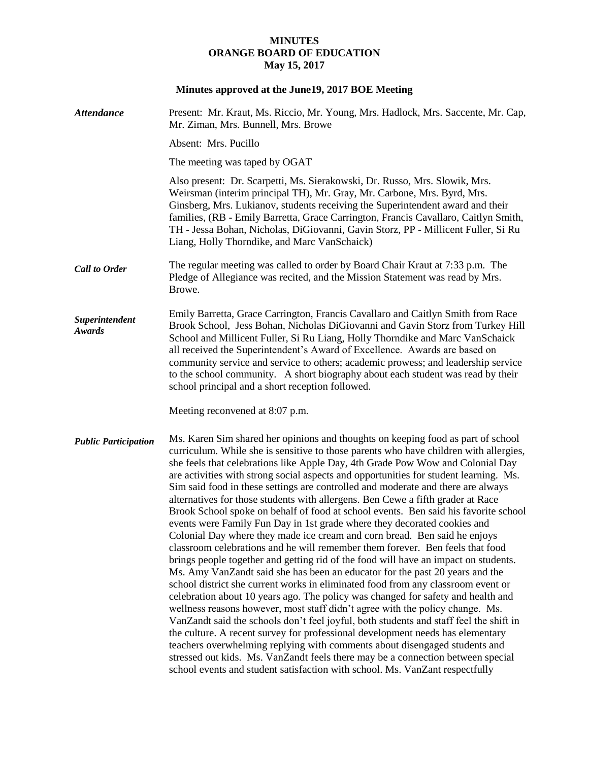## **MINUTES ORANGE BOARD OF EDUCATION May 15, 2017**

# **Minutes approved at the June19, 2017 BOE Meeting**

| <b>Attendance</b>           | Present: Mr. Kraut, Ms. Riccio, Mr. Young, Mrs. Hadlock, Mrs. Saccente, Mr. Cap,<br>Mr. Ziman, Mrs. Bunnell, Mrs. Browe                                                                                                                                                                                                                                                                                                                                                                                                                                                                                                                                                                                                                                                                                                                                                                                                                                                                                                                                                                                                                                                                                                                                                                                                                                                                                                                                                                                                                                                                                                                                                                                                   |
|-----------------------------|---------------------------------------------------------------------------------------------------------------------------------------------------------------------------------------------------------------------------------------------------------------------------------------------------------------------------------------------------------------------------------------------------------------------------------------------------------------------------------------------------------------------------------------------------------------------------------------------------------------------------------------------------------------------------------------------------------------------------------------------------------------------------------------------------------------------------------------------------------------------------------------------------------------------------------------------------------------------------------------------------------------------------------------------------------------------------------------------------------------------------------------------------------------------------------------------------------------------------------------------------------------------------------------------------------------------------------------------------------------------------------------------------------------------------------------------------------------------------------------------------------------------------------------------------------------------------------------------------------------------------------------------------------------------------------------------------------------------------|
|                             | Absent: Mrs. Pucillo                                                                                                                                                                                                                                                                                                                                                                                                                                                                                                                                                                                                                                                                                                                                                                                                                                                                                                                                                                                                                                                                                                                                                                                                                                                                                                                                                                                                                                                                                                                                                                                                                                                                                                      |
|                             | The meeting was taped by OGAT                                                                                                                                                                                                                                                                                                                                                                                                                                                                                                                                                                                                                                                                                                                                                                                                                                                                                                                                                                                                                                                                                                                                                                                                                                                                                                                                                                                                                                                                                                                                                                                                                                                                                             |
|                             | Also present: Dr. Scarpetti, Ms. Sierakowski, Dr. Russo, Mrs. Slowik, Mrs.<br>Weirsman (interim principal TH), Mr. Gray, Mr. Carbone, Mrs. Byrd, Mrs.<br>Ginsberg, Mrs. Lukianov, students receiving the Superintendent award and their<br>families, (RB - Emily Barretta, Grace Carrington, Francis Cavallaro, Caitlyn Smith,<br>TH - Jessa Bohan, Nicholas, DiGiovanni, Gavin Storz, PP - Millicent Fuller, Si Ru<br>Liang, Holly Thorndike, and Marc VanSchaick)                                                                                                                                                                                                                                                                                                                                                                                                                                                                                                                                                                                                                                                                                                                                                                                                                                                                                                                                                                                                                                                                                                                                                                                                                                                       |
| <b>Call to Order</b>        | The regular meeting was called to order by Board Chair Kraut at 7:33 p.m. The<br>Pledge of Allegiance was recited, and the Mission Statement was read by Mrs.<br>Browe.                                                                                                                                                                                                                                                                                                                                                                                                                                                                                                                                                                                                                                                                                                                                                                                                                                                                                                                                                                                                                                                                                                                                                                                                                                                                                                                                                                                                                                                                                                                                                   |
| Superintendent<br>Awards    | Emily Barretta, Grace Carrington, Francis Cavallaro and Caitlyn Smith from Race<br>Brook School, Jess Bohan, Nicholas DiGiovanni and Gavin Storz from Turkey Hill<br>School and Millicent Fuller, Si Ru Liang, Holly Thorndike and Marc VanSchaick<br>all received the Superintendent's Award of Excellence. Awards are based on<br>community service and service to others; academic prowess; and leadership service<br>to the school community. A short biography about each student was read by their<br>school principal and a short reception followed.                                                                                                                                                                                                                                                                                                                                                                                                                                                                                                                                                                                                                                                                                                                                                                                                                                                                                                                                                                                                                                                                                                                                                              |
|                             | Meeting reconvened at 8:07 p.m.                                                                                                                                                                                                                                                                                                                                                                                                                                                                                                                                                                                                                                                                                                                                                                                                                                                                                                                                                                                                                                                                                                                                                                                                                                                                                                                                                                                                                                                                                                                                                                                                                                                                                           |
| <b>Public Participation</b> | Ms. Karen Sim shared her opinions and thoughts on keeping food as part of school<br>curriculum. While she is sensitive to those parents who have children with allergies,<br>she feels that celebrations like Apple Day, 4th Grade Pow Wow and Colonial Day<br>are activities with strong social aspects and opportunities for student learning. Ms.<br>Sim said food in these settings are controlled and moderate and there are always<br>alternatives for those students with allergens. Ben Cewe a fifth grader at Race<br>Brook School spoke on behalf of food at school events. Ben said his favorite school<br>events were Family Fun Day in 1st grade where they decorated cookies and<br>Colonial Day where they made ice cream and corn bread. Ben said he enjoys<br>classroom celebrations and he will remember them forever. Ben feels that food<br>brings people together and getting rid of the food will have an impact on students.<br>Ms. Amy VanZandt said she has been an educator for the past 20 years and the<br>school district she current works in eliminated food from any classroom event or<br>celebration about 10 years ago. The policy was changed for safety and health and<br>wellness reasons however, most staff didn't agree with the policy change. Ms.<br>VanZandt said the schools don't feel joyful, both students and staff feel the shift in<br>the culture. A recent survey for professional development needs has elementary<br>teachers overwhelming replying with comments about disengaged students and<br>stressed out kids. Ms. VanZandt feels there may be a connection between special<br>school events and student satisfaction with school. Ms. VanZant respectfully |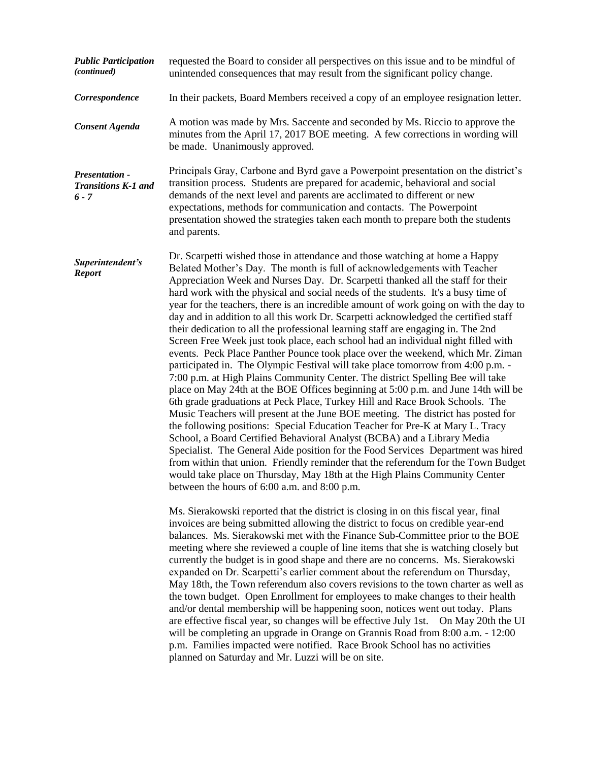| <b>Public Participation</b><br>(continued)       | requested the Board to consider all perspectives on this issue and to be mindful of<br>unintended consequences that may result from the significant policy change.                                                                                                                                                                                                                                                                                                                                                                                                                                                                                                                                                                                                                                                                                                                                                                                                                                                                                                                                                                                                                                                                                                                                                                                                                                                                                                                                                                                                                                                                                                                                                                                                 |
|--------------------------------------------------|--------------------------------------------------------------------------------------------------------------------------------------------------------------------------------------------------------------------------------------------------------------------------------------------------------------------------------------------------------------------------------------------------------------------------------------------------------------------------------------------------------------------------------------------------------------------------------------------------------------------------------------------------------------------------------------------------------------------------------------------------------------------------------------------------------------------------------------------------------------------------------------------------------------------------------------------------------------------------------------------------------------------------------------------------------------------------------------------------------------------------------------------------------------------------------------------------------------------------------------------------------------------------------------------------------------------------------------------------------------------------------------------------------------------------------------------------------------------------------------------------------------------------------------------------------------------------------------------------------------------------------------------------------------------------------------------------------------------------------------------------------------------|
| Correspondence                                   | In their packets, Board Members received a copy of an employee resignation letter.                                                                                                                                                                                                                                                                                                                                                                                                                                                                                                                                                                                                                                                                                                                                                                                                                                                                                                                                                                                                                                                                                                                                                                                                                                                                                                                                                                                                                                                                                                                                                                                                                                                                                 |
| <b>Consent Agenda</b>                            | A motion was made by Mrs. Saccente and seconded by Ms. Riccio to approve the<br>minutes from the April 17, 2017 BOE meeting. A few corrections in wording will<br>be made. Unanimously approved.                                                                                                                                                                                                                                                                                                                                                                                                                                                                                                                                                                                                                                                                                                                                                                                                                                                                                                                                                                                                                                                                                                                                                                                                                                                                                                                                                                                                                                                                                                                                                                   |
| Presentation -<br>Transitions K-1 and<br>$6 - 7$ | Principals Gray, Carbone and Byrd gave a Powerpoint presentation on the district's<br>transition process. Students are prepared for academic, behavioral and social<br>demands of the next level and parents are acclimated to different or new<br>expectations, methods for communication and contacts. The Powerpoint<br>presentation showed the strategies taken each month to prepare both the students<br>and parents.                                                                                                                                                                                                                                                                                                                                                                                                                                                                                                                                                                                                                                                                                                                                                                                                                                                                                                                                                                                                                                                                                                                                                                                                                                                                                                                                        |
| Superintendent's<br><b>Report</b>                | Dr. Scarpetti wished those in attendance and those watching at home a Happy<br>Belated Mother's Day. The month is full of acknowledgements with Teacher<br>Appreciation Week and Nurses Day. Dr. Scarpetti thanked all the staff for their<br>hard work with the physical and social needs of the students. It's a busy time of<br>year for the teachers, there is an incredible amount of work going on with the day to<br>day and in addition to all this work Dr. Scarpetti acknowledged the certified staff<br>their dedication to all the professional learning staff are engaging in. The 2nd<br>Screen Free Week just took place, each school had an individual night filled with<br>events. Peck Place Panther Pounce took place over the weekend, which Mr. Ziman<br>participated in. The Olympic Festival will take place tomorrow from 4:00 p.m. -<br>7:00 p.m. at High Plains Community Center. The district Spelling Bee will take<br>place on May 24th at the BOE Offices beginning at 5:00 p.m. and June 14th will be<br>6th grade graduations at Peck Place, Turkey Hill and Race Brook Schools. The<br>Music Teachers will present at the June BOE meeting. The district has posted for<br>the following positions: Special Education Teacher for Pre-K at Mary L. Tracy<br>School, a Board Certified Behavioral Analyst (BCBA) and a Library Media<br>Specialist. The General Aide position for the Food Services Department was hired<br>from within that union. Friendly reminder that the referendum for the Town Budget<br>would take place on Thursday, May 18th at the High Plains Community Center<br>between the hours of 6:00 a.m. and 8:00 p.m.<br>Ms. Sierakowski reported that the district is closing in on this fiscal year, final |
|                                                  | invoices are being submitted allowing the district to focus on credible year-end<br>balances. Ms. Sierakowski met with the Finance Sub-Committee prior to the BOE<br>meeting where she reviewed a couple of line items that she is watching closely but<br>currently the budget is in good shape and there are no concerns. Ms. Sierakowski<br>expanded on Dr. Scarpetti's earlier comment about the referendum on Thursday,<br>May 18th, the Town referendum also covers revisions to the town charter as well as<br>the town budget. Open Enrollment for employees to make changes to their health<br>and/or dental membership will be happening soon, notices went out today. Plans<br>are effective fiscal year, so changes will be effective July 1st. On May 20th the UI<br>will be completing an upgrade in Orange on Grannis Road from 8:00 a.m. - 12:00<br>p.m. Families impacted were notified. Race Brook School has no activities<br>planned on Saturday and Mr. Luzzi will be on site.                                                                                                                                                                                                                                                                                                                                                                                                                                                                                                                                                                                                                                                                                                                                                                |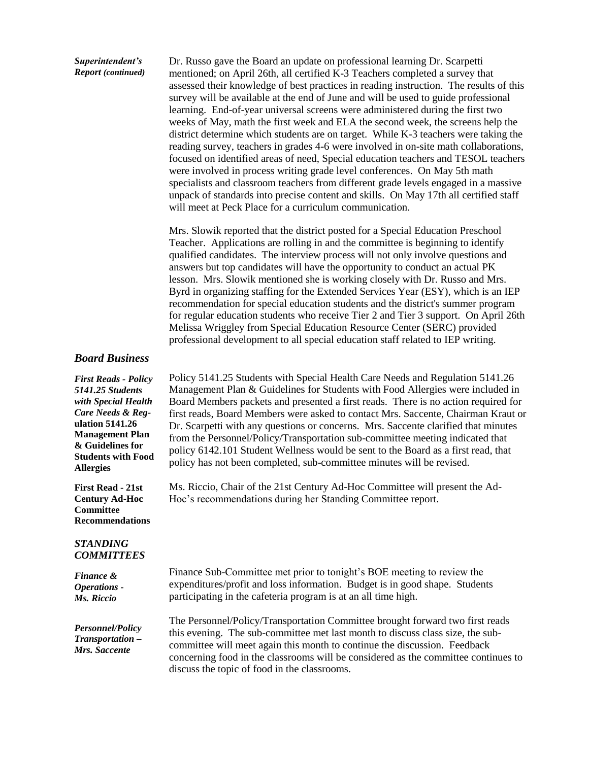#### *Superintendent's Report (continued)*

Dr. Russo gave the Board an update on professional learning Dr. Scarpetti mentioned; on April 26th, all certified K-3 Teachers completed a survey that assessed their knowledge of best practices in reading instruction. The results of this survey will be available at the end of June and will be used to guide professional learning. End-of-year universal screens were administered during the first two weeks of May, math the first week and ELA the second week, the screens help the district determine which students are on target. While K-3 teachers were taking the reading survey, teachers in grades 4-6 were involved in on-site math collaborations, focused on identified areas of need, Special education teachers and TESOL teachers were involved in process writing grade level conferences. On May 5th math specialists and classroom teachers from different grade levels engaged in a massive unpack of standards into precise content and skills. On May 17th all certified staff will meet at Peck Place for a curriculum communication.

Mrs. Slowik reported that the district posted for a Special Education Preschool Teacher. Applications are rolling in and the committee is beginning to identify qualified candidates. The interview process will not only involve questions and answers but top candidates will have the opportunity to conduct an actual PK lesson. Mrs. Slowik mentioned she is working closely with Dr. Russo and Mrs. Byrd in organizing staffing for the Extended Services Year (ESY), which is an IEP recommendation for special education students and the district's summer program for regular education students who receive Tier 2 and Tier 3 support. On April 26th Melissa Wriggley from Special Education Resource Center (SERC) provided professional development to all special education staff related to IEP writing.

## *Board Business*

*First Reads - Policy 5141.25 Students with Special Health Care Needs & Reg***ulation 5141.26 Management Plan & Guidelines for Students with Food Allergies**

**First Read - 21st Century Ad-Hoc Committee Recommendations**

### *STANDING COMMITTEES*

| Finance &                                             | Finance Sub-Committee met prior to tonight's BOE meeting to review the                                                                                                                                                                                                                                                                                                             |
|-------------------------------------------------------|------------------------------------------------------------------------------------------------------------------------------------------------------------------------------------------------------------------------------------------------------------------------------------------------------------------------------------------------------------------------------------|
| <b>Operations -</b>                                   | expenditures/profit and loss information. Budget is in good shape. Students                                                                                                                                                                                                                                                                                                        |
| Ms. Riccio                                            | participating in the cafeteria program is at an all time high.                                                                                                                                                                                                                                                                                                                     |
| Personnel/Policy<br>Transportation -<br>Mrs. Saccente | The Personnel/Policy/Transportation Committee brought forward two first reads<br>this evening. The sub-committee met last month to discuss class size, the sub-<br>committee will meet again this month to continue the discussion. Feedback<br>concerning food in the classrooms will be considered as the committee continues to<br>discuss the topic of food in the classrooms. |

Policy 5141.25 Students with Special Health Care Needs and Regulation 5141.26 Management Plan & Guidelines for Students with Food Allergies were included in Board Members packets and presented a first reads. There is no action required for first reads, Board Members were asked to contact Mrs. Saccente, Chairman Kraut or Dr. Scarpetti with any questions or concerns. Mrs. Saccente clarified that minutes from the Personnel/Policy/Transportation sub-committee meeting indicated that policy 6142.101 Student Wellness would be sent to the Board as a first read, that policy has not been completed, sub-committee minutes will be revised.

Ms. Riccio, Chair of the 21st Century Ad-Hoc Committee will present the Ad-Hoc's recommendations during her Standing Committee report.